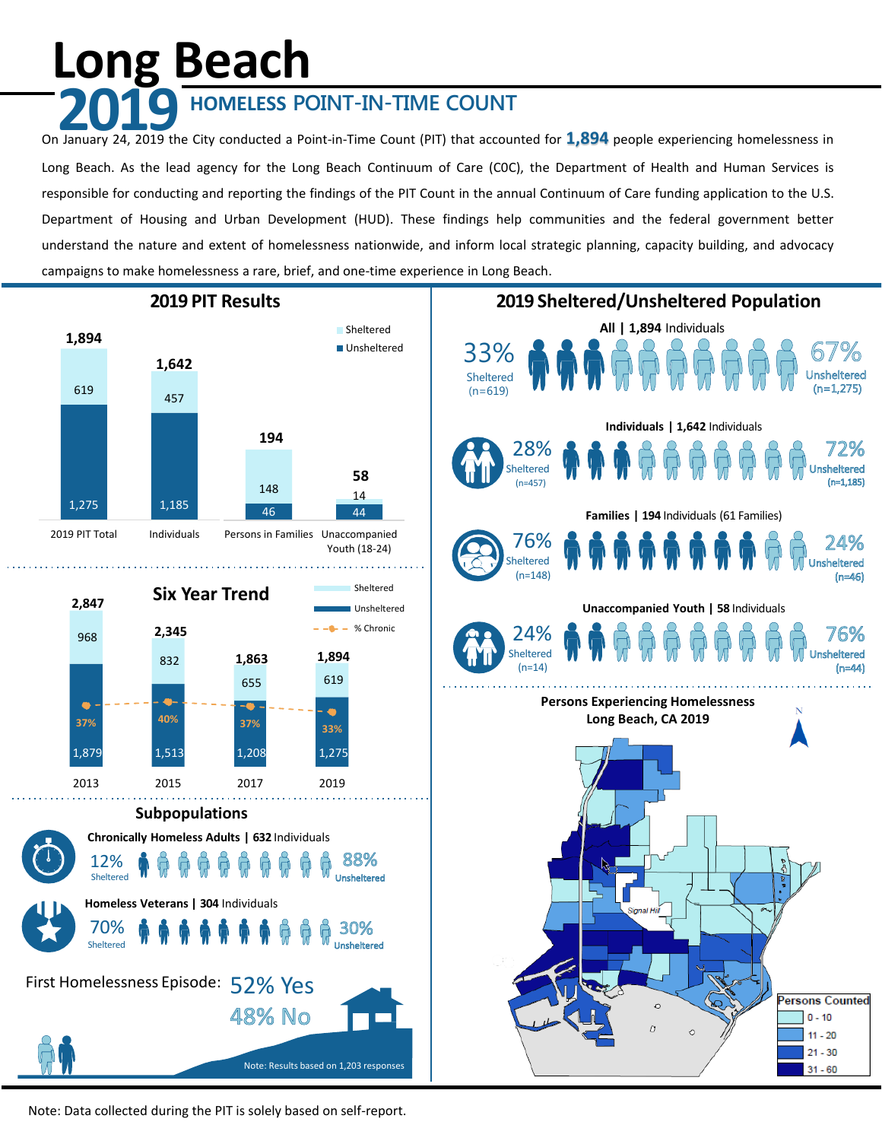# **Long Beach**

## **2019 HOMELESS POINT-IN-TIME COUNT**

On January 24, 2019 the City conducted a Point-in-Time Count (PIT) that accounted for **1,894** people experiencing homelessness in Long Beach. As the lead agency for the Long Beach Continuum of Care (C0C), the Department of Health and Human Services is responsible for conducting and reporting the findings of the PIT Count in the annual Continuum of Care funding application to the U.S. Department of Housing and Urban Development (HUD). These findings help communities and the federal government better understand the nature and extent of homelessness nationwide, and inform local strategic planning, capacity building, and advocacy campaigns to make homelessness a rare, brief, and one-time experience in Long Beach.



Note: Data collected during the PIT is solely based on self-report.